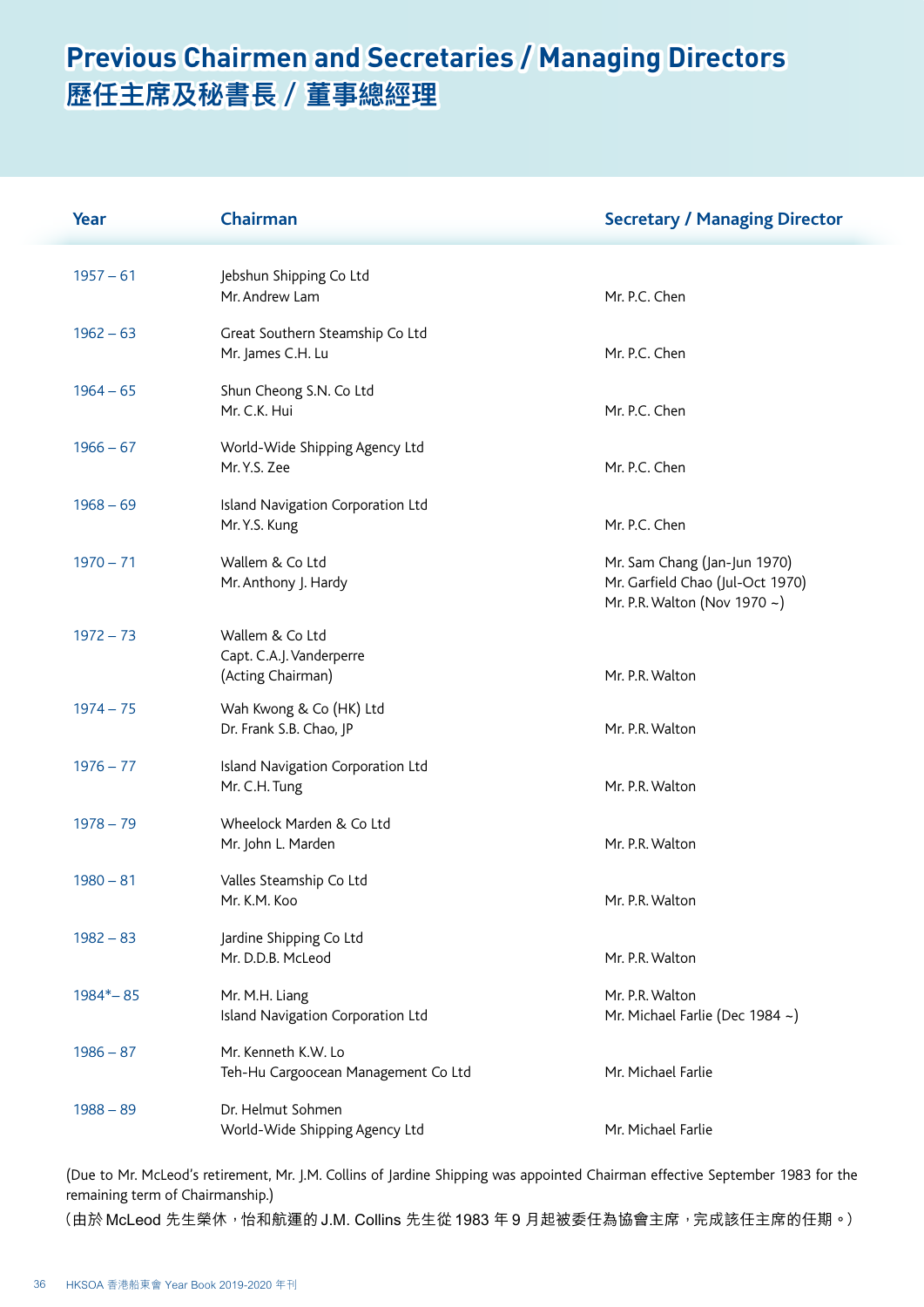## **Previous Chairmen and Secretaries / Managing Directors 歷任主席及秘書長 / 董事總經理**

| Year        | Chairman                                                         | <b>Secretary / Managing Director</b>                                                             |
|-------------|------------------------------------------------------------------|--------------------------------------------------------------------------------------------------|
| $1957 - 61$ | Jebshun Shipping Co Ltd<br>Mr. Andrew Lam                        | Mr. P.C. Chen                                                                                    |
| $1962 - 63$ | Great Southern Steamship Co Ltd<br>Mr. James C.H. Lu             | Mr. P.C. Chen                                                                                    |
| $1964 - 65$ | Shun Cheong S.N. Co Ltd<br>Mr. C.K. Hui                          | Mr. P.C. Chen                                                                                    |
| $1966 - 67$ | World-Wide Shipping Agency Ltd<br>Mr. Y.S. Zee                   | Mr. P.C. Chen                                                                                    |
| $1968 - 69$ | Island Navigation Corporation Ltd<br>Mr. Y.S. Kung               | Mr. P.C. Chen                                                                                    |
| $1970 - 71$ | Wallem & Co Ltd<br>Mr. Anthony J. Hardy                          | Mr. Sam Chang (Jan-Jun 1970)<br>Mr. Garfield Chao (Jul-Oct 1970)<br>Mr. P.R. Walton (Nov 1970 ~) |
| $1972 - 73$ | Wallem & Co Ltd<br>Capt. C.A.J. Vanderperre<br>(Acting Chairman) | Mr. P.R. Walton                                                                                  |
| $1974 - 75$ | Wah Kwong & Co (HK) Ltd<br>Dr. Frank S.B. Chao, JP               | Mr. P.R. Walton                                                                                  |
| $1976 - 77$ | Island Navigation Corporation Ltd<br>Mr. C.H. Tung               | Mr. P.R. Walton                                                                                  |
| $1978 - 79$ | Wheelock Marden & Co Ltd<br>Mr. John L. Marden                   | Mr. P.R. Walton                                                                                  |
| $1980 - 81$ | Valles Steamship Co Ltd<br>Mr. K.M. Koo                          | Mr. P.R. Walton                                                                                  |
| $1982 - 83$ | Jardine Shipping Co Ltd<br>Mr. D.D.B. McLeod                     | Mr. P.R. Walton                                                                                  |
| $1984 - 85$ | Mr. M.H. Liang<br>Island Navigation Corporation Ltd              | Mr. P.R. Walton<br>Mr. Michael Farlie (Dec 1984 ~)                                               |
| $1986 - 87$ | Mr. Kenneth K.W. Lo<br>Teh-Hu Cargoocean Management Co Ltd       | Mr. Michael Farlie                                                                               |
| $1988 - 89$ | Dr. Helmut Sohmen<br>World-Wide Shipping Agency Ltd              | Mr. Michael Farlie                                                                               |

(Due to Mr. McLeod's retirement, Mr. J.M. Collins of Jardine Shipping was appointed Chairman effective September 1983 for the remaining term of Chairmanship.)

(由於 McLeod 先生榮休, 怡和航運的 J.M. Collins 先生從 1983 年 9 月起被委任為協會主席, 完成該任主席的任期。)